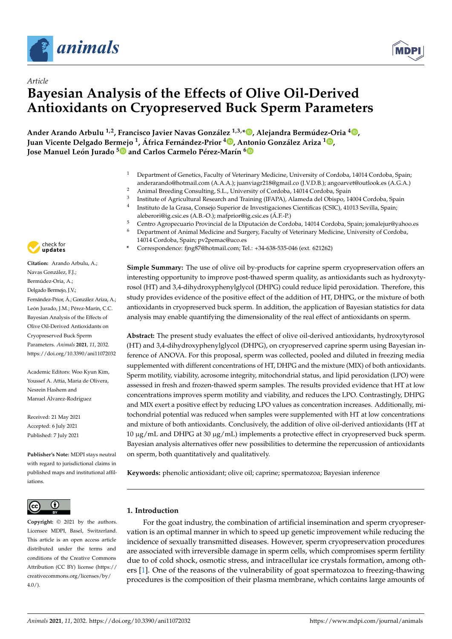



# *Article* **Bayesian Analysis of the Effects of Olive Oil-Derived Antioxidants on Cryopreserved Buck Sperm Parameters**

**Ander Arando Arbulu 1,2, Francisco Javier Navas González 1,3,\* [,](https://orcid.org/0000-0002-0093-5151) Alejandra Bermúdez-Oria <sup>4</sup> [,](https://orcid.org/0000-0002-3632-3595) Juan Vicente Delgado Bermejo <sup>1</sup> , África Fernández-Prior [4](https://orcid.org/0000-0002-8292-3081) , Antonio González Ariza <sup>1</sup> [,](https://orcid.org/0000-0001-6697-3591) Jose Manuel León Jurado [5](https://orcid.org/0000-0001-8969-574X) and Carlos Carmelo Pérez-Marín [6](https://orcid.org/0000-0002-9574-383X)**

- <sup>1</sup> Department of Genetics, Faculty of Veterinary Medicine, University of Cordoba, 14014 Cordoba, Spain; anderarando@hotmail.com (A.A.A.); juanviagr218@gmail.co (J.V.D.B.); angoarvet@outlook.es (A.G.A.)
- <sup>2</sup> Animal Breeding Consulting, S.L., University of Cordoba, 14014 Cordoba, Spain
- 3 Institute of Agricultural Research and Training (IFAPA), Alameda del Obispo, 14004 Cordoba, Spain 4
	- Instituto de la Grasa, Consejo Superior de Investigaciones Científicas (CSIC), 41013 Sevilla, Spain;
- aleberori@ig.csic.es (A.B.-O.); mafprior@ig.csic.es (Á.F.-P.)
- <sup>5</sup> Centro Agropecuario Provincial de la Diputación de Cordoba, 14014 Cordoba, Spain; jomalejur@yahoo.es
- <sup>6</sup> Department of Animal Medicine and Surgery, Faculty of Veterinary Medicine, University of Cordoba,
	- 14014 Cordoba, Spain; pv2pemac@uco.es
- **\*** Correspondence: fjng87@hotmail.com; Tel.: +34-638-535-046 (ext. 621262)

**Simple Summary:** The use of olive oil by-products for caprine sperm cryopreservation offers an interesting opportunity to improve post-thawed sperm quality, as antioxidants such as hydroxytyrosol (HT) and 3,4-dihydroxyphenylglycol (DHPG) could reduce lipid peroxidation. Therefore, this study provides evidence of the positive effect of the addition of HT, DHPG, or the mixture of both antioxidants in cryopreserved buck sperm. In addition, the application of Bayesian statistics for data analysis may enable quantifying the dimensionality of the real effect of antioxidants on sperm.

**Abstract:** The present study evaluates the effect of olive oil-derived antioxidants, hydroxytyrosol (HT) and 3,4-dihydroxyphenylglycol (DHPG), on cryopreserved caprine sperm using Bayesian inference of ANOVA. For this proposal, sperm was collected, pooled and diluted in freezing media supplemented with different concentrations of HT, DHPG and the mixture (MIX) of both antioxidants. Sperm motility, viability, acrosome integrity, mitochondrial status, and lipid peroxidation (LPO) were assessed in fresh and frozen-thawed sperm samples. The results provided evidence that HT at low concentrations improves sperm motility and viability, and reduces the LPO. Contrastingly, DHPG and MIX exert a positive effect by reducing LPO values as concentration increases. Additionally, mitochondrial potential was reduced when samples were supplemented with HT at low concentrations and mixture of both antioxidants. Conclusively, the addition of olive oil-derived antioxidants (HT at 10  $\mu$ g/mL and DHPG at 30  $\mu$ g/mL) implements a protective effect in cryopreserved buck sperm. Bayesian analysis alternatives offer new possibilities to determine the repercussion of antioxidants on sperm, both quantitatively and qualitatively.

**Keywords:** phenolic antioxidant; olive oil; caprine; spermatozoa; Bayesian inference

## **1. Introduction**

For the goat industry, the combination of artificial insemination and sperm cryopreservation is an optimal manner in which to speed up genetic improvement while reducing the incidence of sexually transmitted diseases. However, sperm cryopreservation procedures are associated with irreversible damage in sperm cells, which compromises sperm fertility due to of cold shock, osmotic stress, and intracellular ice crystals formation, among others [\[1\]](#page-11-0). One of the reasons of the vulnerability of goat spermatozoa to freezing-thawing procedures is the composition of their plasma membrane, which contains large amounts of



**Citation:** Arando Arbulu, A.; Navas González, F.J.; Bermúdez-Oria, A.; Delgado Bermejo, J.V.; Fernández-Prior, Á.; González Ariza, A.; León Jurado, J.M.; Pérez-Marín, C.C. Bayesian Analysis of the Effects of Olive Oil-Derived Antioxidants on Cryopreserved Buck Sperm Parameters. *Animals* **2021**, *11*, 2032. <https://doi.org/10.3390/ani11072032>

Academic Editors: Woo Kyun Kim, Youssef A. Attia, Maria de Olivera, Nesrein Hashem and Manuel Álvarez-Rodríguez

Received: 21 May 2021 Accepted: 6 July 2021 Published: 7 July 2021

**Publisher's Note:** MDPI stays neutral with regard to jurisdictional claims in published maps and institutional affiliations.



**Copyright:** © 2021 by the authors. Licensee MDPI, Basel, Switzerland. This article is an open access article distributed under the terms and conditions of the Creative Commons Attribution (CC BY) license (https:/[/](https://creativecommons.org/licenses/by/4.0/) [creativecommons.org/licenses/by/](https://creativecommons.org/licenses/by/4.0/)  $4.0/$ ).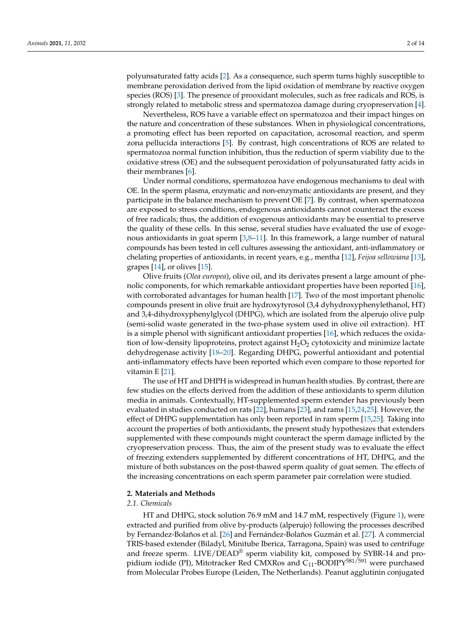polyunsaturated fatty acids [\[2\]](#page-11-1). As a consequence, such sperm turns highly susceptible to membrane peroxidation derived from the lipid oxidation of membrane by reactive oxygen species (ROS) [\[3\]](#page-11-2). The presence of prooxidant molecules, such as free radicals and ROS, is strongly related to metabolic stress and spermatozoa damage during cryopreservation [\[4\]](#page-11-3).

Nevertheless, ROS have a variable effect on spermatozoa and their impact hinges on the nature and concentration of these substances. When in physiological concentrations, a promoting effect has been reported on capacitation, acrosomal reaction, and sperm zona pellucida interactions [\[5\]](#page-11-4). By contrast, high concentrations of ROS are related to spermatozoa normal function inhibition, thus the reduction of sperm viability due to the oxidative stress (OE) and the subsequent peroxidation of polyunsaturated fatty acids in their membranes [\[6\]](#page-11-5).

Under normal conditions, spermatozoa have endogenous mechanisms to deal with OE. In the sperm plasma, enzymatic and non-enzymatic antioxidants are present, and they participate in the balance mechanism to prevent OE [\[7\]](#page-11-6). By contrast, when spermatozoa are exposed to stress conditions, endogenous antioxidants cannot counteract the excess of free radicals; thus, the addition of exogenous antioxidants may be essential to preserve the quality of these cells. In this sense, several studies have evaluated the use of exogenous antioxidants in goat sperm  $[3,8-11]$  $[3,8-11]$  $[3,8-11]$ . In this framework, a large number of natural compounds has been tested in cell cultures assessing the antioxidant, anti-inflammatory or chelating properties of antioxidants, in recent years, e.g., mentha [\[12\]](#page-11-9), *Feijoa sellowiana* [\[13\]](#page-11-10), grapes [\[14\]](#page-11-11), or olives [\[15\]](#page-11-12).

Olive fruits (*Olea europea*), olive oil, and its derivates present a large amount of phenolic components, for which remarkable antioxidant properties have been reported [\[16\]](#page-11-13), with corroborated advantages for human health [\[17\]](#page-11-14). Two of the most important phenolic compounds present in olive fruit are hydroxytyrosol (3,4 dyhydroxyphenylethanol, HT) and 3,4-dihydroxyphenylglycol (DHPG), which are isolated from the alperujo olive pulp (semi-solid waste generated in the two-phase system used in olive oil extraction). HT is a simple phenol with significant antioxidant properties [\[16\]](#page-11-13), which reduces the oxidation of low-density lipoproteins, protect against  $H_2O_2$  cytotoxicity and minimize lactate dehydrogenase activity [\[18](#page-12-0)[–20\]](#page-12-1). Regarding DHPG, powerful antioxidant and potential anti-inflammatory effects have been reported which even compare to those reported for vitamin E [\[21\]](#page-12-2).

The use of HT and DHPH is widespread in human health studies. By contrast, there are few studies on the effects derived from the addition of these antioxidants to sperm dilution media in animals. Contextually, HT-supplemented sperm extender has previously been evaluated in studies conducted on rats [\[22\]](#page-12-3), humans [\[23\]](#page-12-4), and rams [\[15,](#page-11-12)[24,](#page-12-5)[25\]](#page-12-6). However, the effect of DHPG supplementation has only been reported in ram sperm [\[15](#page-11-12)[,25\]](#page-12-6). Taking into account the properties of both antioxidants, the present study hypothesizes that extenders supplemented with these compounds might counteract the sperm damage inflicted by the cryopreservation process. Thus, the aim of the present study was to evaluate the effect of freezing extenders supplemented by different concentrations of HT, DHPG, and the mixture of both substances on the post-thawed sperm quality of goat semen. The effects of the increasing concentrations on each sperm parameter pair correlation were studied.

## **2. Materials and Methods**

## *2.1. Chemicals*

HT and DHPG, stock solution 76.9 mM and 14.7 mM, respectively (Figure [1\)](#page-2-0), were extracted and purified from olive by-products (alperujo) following the processes described by Fernandez-Bolaños et al. [\[26\]](#page-12-7) and Fernández-Bolaños Guzmán et al. [\[27\]](#page-12-8). A commercial TRIS-based extender (Biladyl, Minitube Iberica, Tarragona, Spain) was used to centrifuge and freeze sperm. LIVE/DEAD® sperm viability kit, composed by SYBR-14 and propidium iodide (PI), Mitotracker Red CMXRos and  $C_{11}$ -BODIPY<sup>581/591</sup> were purchased from Molecular Probes Europe (Leiden, The Netherlands). Peanut agglutinin conjugated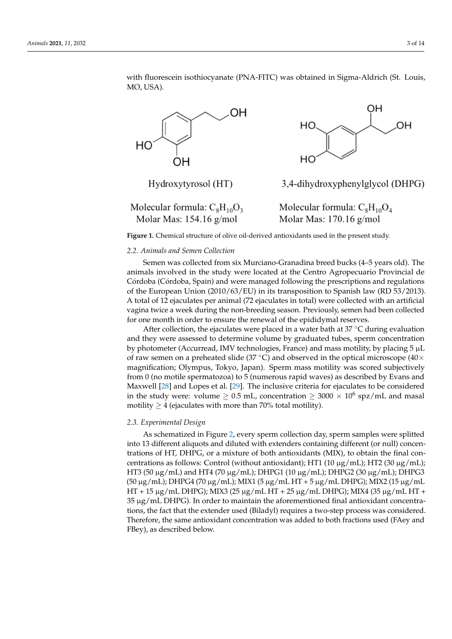with fluorescein isothiocyanate (PNA-FITC) was obtained in Sigma-Aldrich (St. Louis, MO, USA).

<span id="page-2-0"></span>

Molecular formula:  $C_8H_{10}O_3$ Molar Mas:  $154.16$  g/mol

Molecular formula:  $C_8H_{10}O_4$ Molar Mas:  $170.16$  g/mol

**Figure 1.** Chemical structure of olive oil-derived antioxidants used in the present study.

#### **Figure 1.** Chemical structure of olive oil-derived antioxidants used in the present study. *2.2. Animals and Semen Collection*

*2.2. Animals and Semen Collection*  Semen was collected from six Murciano-Granadina breed bucks (4–5 years old). The Córdoba (Córdoba, Spain) and were managed following the prescriptions and regulations of the European Union (2010/63/EU) in its transposition to Spanish law (RD 53/2013). A total of 12 ejaculates per animal (72 ejaculates in total) were collected with an artificial vagina twice a week during the non-breeding season. Previously, semen had been collected animals involved in the study were located at the Centro Agropecuario Provincial de for one month in order to ensure the renewal of the epididymal reserves.

For one month in order to ensure the renewar or the epididy marrieserves.<br>After collection, the ejaculates were placed in a water bath at  $37^{\circ}$ C during evaluation and they were assessed to determine volume by graduated tubes, sperm concentration by photometer (Accurread, IMV technologies, France) and mass motility, by placing 5 µL of raw semen on a preheated slide (37 °C) and observed in the optical microscope (40× magnification; Olympus, Tokyo, Japan). Sperm mass motility was scored subjectively from 0 (no motile spermatozoa) to 5 (numerous rapid waves) as described by Evans and  $M_{\odot}$   $\sim$  1.5  $\Omega$ in the study were: volume  $\geq 0.5$  mL, concentration  $\geq 3000 \times 10^6$  spz/mL and masal motility  $\geq 4$  (ejaculates with more than 70% total motility). Maxwell [\[28\]](#page-12-9) and Lopes et al. [\[29\]](#page-12-10). The inclusive criteria for ejaculates to be considered

## [28] and Lopes et al. [29]. The inclusive criteria for ejaculates to be considered in the study *2.3. Experimental Design*

As schematized in Figure 2, every sperm collection day, sperm samples were splitted into 13 different aliquots and diluted with extenders containing different (or null) concen-<br>that is not all the Carl more than the containing different (or null) concen-*HT3* (50 μg/mL) and HT4 (70 μg/mL); DHPG1 (10 μg/mL); DHPG2 (30 μg/mL); DHPG3 (50 μg/mL); DHPG4 (70 μg/mL); MIX1 (5 μg/mL HT + 5 μg/mL DHPG); MIX2 (15 μg/mL  $\text{HT} + 15 \mu\text{g/mL}$  DHPG); MIX3 (25  $\mu\text{g/mL}$  HT + 25  $\mu\text{g/mL}$  DHPG); MIX4 (35  $\mu\text{g/mL}$  HT +  $35 \mu$ g/mL DHPG). In order to maintain the aforementioned final antioxidant concentra-<br>tions, the fact that the oxtonder used (Biladul) requires a two stap precess was considered Therefore, the same antioxidant concentration was added to both fractions used (FAey and  $\frac{1}{2}$ FBey), as described below. The experiment of the set of the set of the set of the set of the set of the set of the set of the set of the set of the set of the set of the set of the set of the set of the set of the set of t trations of HT, DHPG, or a mixture of both antioxidants (MIX), to obtain the final concentrations as follows: Control (without antioxidant); HT1 (10  $\mu$ g/mL); HT2 (30  $\mu$ g/mL); tions, the fact that the extender used (Biladyl) requires a two-step process was considered.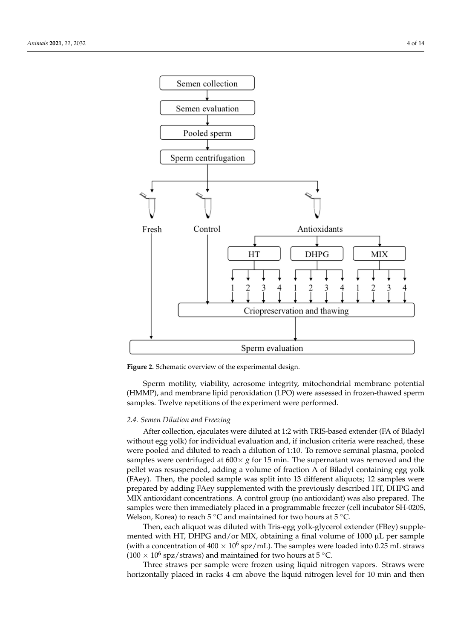<span id="page-3-0"></span>

**Figure 2.** Schematic overview of the experimental design. **Figure 2.** Schematic overview of the experimental design.

(HMMP), and membrane lipid peroxidation (LPO) were assessed in frozen-thawed sperm samples. Twelve repetitions of the experiment were performed. Sperm motility, viability, acrosome integrity, mitochondrial membrane potential

## dyl without egg yolk) for individual evaluation and, if inclusion criteria were reached, *2.4. Semen Dilution and Freezing*

After collection, ejaculates were diluted at 1:2 with TRIS-based extender (FA of Biladyl without egg yolk) for individual evaluation and, if inclusion criteria were reached, these were pooled and diluted to reach a dilution of 1:10. To remove seminal plasma, pooled samples were centrifuged at  $600 \times g$  for 15 min. The supernatant was removed and the pollot was resumeded adding a volume of fraction. A of Pilodyl containing age valley pared by adding Factor of Theorem is a constructed with the DHRG and DHRG and MIX constraining and Secretion (FAey). Then, the pooled sample was split into 13 different aliquots; 12 samples were prepared by adding FAey supplemented with the previously described HT, DHPG and MIX antioxidant concentrations. A control group (no antioxidant) was also prepared. The samples were then immediately placed in a programmable freezer (cell incubator SH-020S, pellet was resuspended, adding a volume of fraction A of Biladyl containing egg yolk Welson, Korea) to reach  $5^{\circ}$ C and maintained for two hours at  $5^{\circ}$ C.

Then, each aliquot was diluted with Tris-egg yolk-glycerol extender (FBey) supple-Then, each aliquot was diluted with Tris-egg yolk-glycerol extender (FBey) supplemented with HT, DHPG and/or MIX, obtaining a final volume of 1000  $\mu$ L per sample (with a concentration of  $400 \times 10^6$  spz/mL). The samples were loaded into 0.25 mL straws  $(100 \times 10^6 \text{ spz/straws})$  and maintained for two hours at 5 °C.

Three straws per sample were frozen using liquid nitrogen vapors. Straws were  $\frac{1}{2}$ horizontally placed in racks 4 cm above the liquid nitrogen level for 10 min and then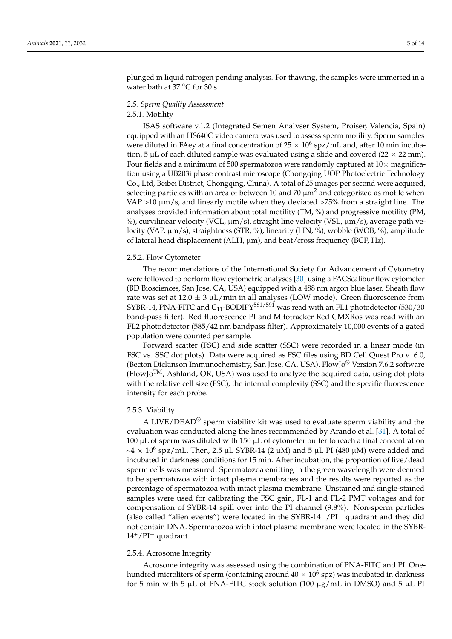plunged in liquid nitrogen pending analysis. For thawing, the samples were immersed in a water bath at 37 $\degree$ C for 30 s.

#### *2.5. Sperm Quality Assessment*

#### 2.5.1. Motility

ISAS software v.1.2 (Integrated Semen Analyser System, Proiser, Valencia, Spain) equipped with an HS640C video camera was used to assess sperm motility. Sperm samples were diluted in FAey at a final concentration of 25  $\times$   $10^6$  spz/mL and, after 10 min incubation, 5  $\mu$ L of each diluted sample was evaluated using a slide and covered (22  $\times$  22 mm). Four fields and a minimum of 500 spermatozoa were randomly captured at  $10\times$  magnification using a UB203i phase contrast microscope (Chongqing UOP Photoelectric Technology Co., Ltd, Beibei District, Chongqing, China). A total of 25 images per second were acquired, selecting particles with an area of between 10 and 70  $\mu$ m<sup>2</sup> and categorized as motile when VAP >10  $\mu$ m/s, and linearly motile when they deviated >75% from a straight line. The analyses provided information about total motility (TM, %) and progressive motility (PM, %), curvilinear velocity (VCL,  $\mu$ m/s), straight line velocity (VSL,  $\mu$ m/s), average path velocity (VAP, µm/s), straightness (STR, %), linearity (LIN, %), wobble (WOB, %), amplitude of lateral head displacement (ALH, µm), and beat/cross frequency (BCF, Hz).

#### 2.5.2. Flow Cytometer

The recommendations of the International Society for Advancement of Cytometry were followed to perform flow cytometric analyses [\[30\]](#page-12-11) using a FACScalibur flow cytometer (BD Biosciences, San Jose, CA, USA) equipped with a 488 nm argon blue laser. Sheath flow rate was set at  $12.0 \pm 3 \mu L/min$  in all analyses (LOW mode). Green fluorescence from SYBR-14, PNA-FITC and  $C_{11}$ -BODIPY<sup>581/591</sup> was read with an FL1 photodetector (530/30 band-pass filter). Red fluorescence PI and Mitotracker Red CMXRos was read with an FL2 photodetector (585/42 nm bandpass filter). Approximately 10,000 events of a gated population were counted per sample.

Forward scatter (FSC) and side scatter (SSC) were recorded in a linear mode (in FSC vs. SSC dot plots). Data were acquired as FSC files using BD Cell Quest Pro v. 6.0, (Becton Dickinson Immunochemistry, San Jose, CA, USA). FlowJo® Version 7.6.2 software  $(FlowJo<sup>TM</sup>,$  Ashland, OR, USA) was used to analyze the acquired data, using dot plots with the relative cell size (FSC), the internal complexity (SSC) and the specific fluorescence intensity for each probe.

#### 2.5.3. Viability

A LIVE/DEAD<sup>®</sup> sperm viability kit was used to evaluate sperm viability and the evaluation was conducted along the lines recommended by Arando et al. [\[31\]](#page-12-12). A total of 100  $\mu$ L of sperm was diluted with 150  $\mu$ L of cytometer buffer to reach a final concentration  $\sim$ 4  $\times$  10<sup>6</sup> spz/mL. Then, 2.5 µL SYBR-14 (2 µM) and 5 µL PI (480 µM) were added and incubated in darkness conditions for 15 min. After incubation, the proportion of live/dead sperm cells was measured. Spermatozoa emitting in the green wavelength were deemed to be spermatozoa with intact plasma membranes and the results were reported as the percentage of spermatozoa with intact plasma membrane. Unstained and single-stained samples were used for calibrating the FSC gain, FL-1 and FL-2 PMT voltages and for compensation of SYBR-14 spill over into the PI channel (9.8%). Non-sperm particles (also called "alien events") were located in the SYBR-14−/PI<sup>−</sup> quadrant and they did not contain DNA. Spermatozoa with intact plasma membrane were located in the SYBR-14+/PI<sup>−</sup> quadrant.

#### 2.5.4. Acrosome Integrity

Acrosome integrity was assessed using the combination of PNA-FITC and PI. Onehundred microliters of sperm (containing around  $40\times10^6$  spz) was incubated in darkness for 5 min with 5  $\mu$ L of PNA-FITC stock solution (100  $\mu$ g/mL in DMSO) and 5  $\mu$ L PI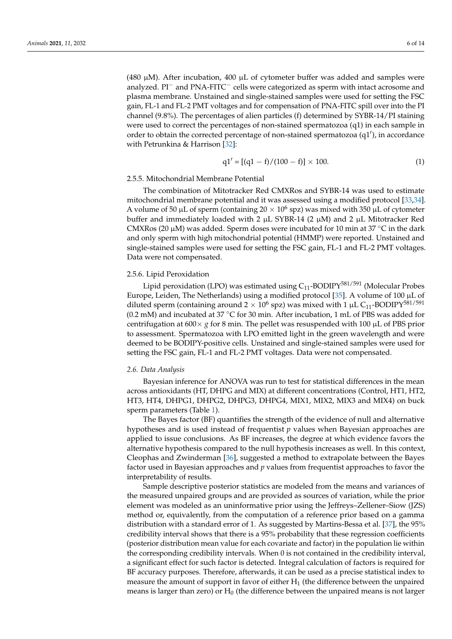(480  $\mu$ M). After incubation, 400  $\mu$ L of cytometer buffer was added and samples were analyzed. PI<sup>−</sup> and PNA-FITC<sup>−</sup> cells were categorized as sperm with intact acrosome and plasma membrane. Unstained and single-stained samples were used for setting the FSC gain, FL-1 and FL-2 PMT voltages and for compensation of PNA-FITC spill over into the PI channel (9.8%). The percentages of alien particles (f) determined by SYBR-14/PI staining were used to correct the percentages of non-stained spermatozoa (q1) in each sample in order to obtain the corrected percentage of non-stained spermatozoa (q1'), in accordance with Petrunkina & Harrison [\[32\]](#page-12-13):

$$
q1' = [(q1 - f)/(100 - f)] \times 100.
$$
 (1)

## 2.5.5. Mitochondrial Membrane Potential

The combination of Mitotracker Red CMXRos and SYBR-14 was used to estimate mitochondrial membrane potential and it was assessed using a modified protocol [\[33,](#page-12-14)[34\]](#page-12-15). A volume of 50  $\mu$ L of sperm (containing 20  $\times$  10<sup>6</sup> spz) was mixed with 350  $\mu$ L of cytometer buffer and immediately loaded with 2  $\mu$ L SYBR-14 (2  $\mu$ M) and 2  $\mu$ L Mitotracker Red CMXRos (20  $\mu$ M) was added. Sperm doses were incubated for 10 min at 37 °C in the dark and only sperm with high mitochondrial potential (HMMP) were reported. Unstained and single-stained samples were used for setting the FSC gain, FL-1 and FL-2 PMT voltages. Data were not compensated.

#### 2.5.6. Lipid Peroxidation

Lipid peroxidation (LPO) was estimated using  $C_{11}$ -BODIPY<sup>581/591</sup> (Molecular Probes Europe, Leiden, The Netherlands) using a modified protocol [\[35\]](#page-12-16). A volume of 100 µL of diluted sperm (containing around 2  $\times$  10<sup>6</sup> spz) was mixed with 1 µL C<sub>11</sub>-BODIPY<sup>581/591</sup> (0.2 mM) and incubated at 37  $\degree$ C for 30 min. After incubation, 1 mL of PBS was added for centrifugation at  $600 \times g$  for 8 min. The pellet was resuspended with 100  $\mu$ L of PBS prior to assessment. Spermatozoa with LPO emitted light in the green wavelength and were deemed to be BODIPY-positive cells. Unstained and single-stained samples were used for setting the FSC gain, FL-1 and FL-2 PMT voltages. Data were not compensated.

#### *2.6. Data Analysis*

Bayesian inference for ANOVA was run to test for statistical differences in the mean across antioxidants (HT, DHPG and MIX) at different concentrations (Control, HT1, HT2, HT3, HT4, DHPG1, DHPG2, DHPG3, DHPG4, MIX1, MIX2, MIX3 and MIX4) on buck sperm parameters (Table [1\)](#page-6-0).

The Bayes factor (BF) quantifies the strength of the evidence of null and alternative hypotheses and is used instead of frequentist *p* values when Bayesian approaches are applied to issue conclusions. As BF increases, the degree at which evidence favors the alternative hypothesis compared to the null hypothesis increases as well. In this context, Cleophas and Zwinderman [\[36\]](#page-12-17), suggested a method to extrapolate between the Bayes factor used in Bayesian approaches and *p* values from frequentist approaches to favor the interpretability of results.

Sample descriptive posterior statistics are modeled from the means and variances of the measured unpaired groups and are provided as sources of variation, while the prior element was modeled as an uninformative prior using the Jeffreys–Zellener–Siow (JZS) method or, equivalently, from the computation of a reference prior based on a gamma distribution with a standard error of 1. As suggested by Martins-Bessa et al. [\[37\]](#page-12-18), the 95% credibility interval shows that there is a 95% probability that these regression coefficients (posterior distribution mean value for each covariate and factor) in the population lie within the corresponding credibility intervals. When 0 is not contained in the credibility interval, a significant effect for such factor is detected. Integral calculation of factors is required for BF accuracy purposes. Therefore, afterwards, it can be used as a precise statistical index to measure the amount of support in favor of either  $H_1$  (the difference between the unpaired means is larger than zero) or  $H_0$  (the difference between the unpaired means is not larger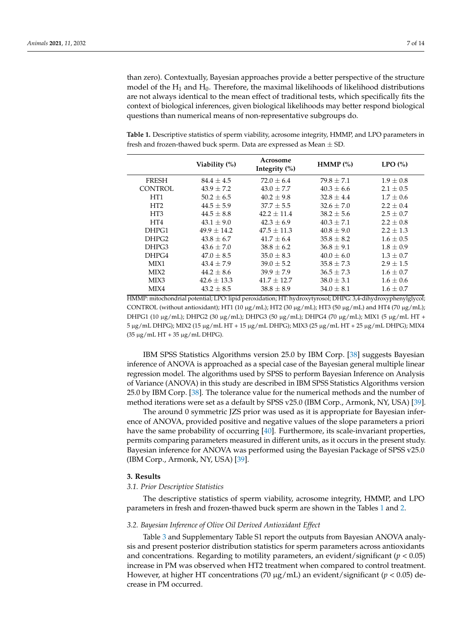than zero). Contextually, Bayesian approaches provide a better perspective of the structure model of the  $H_1$  and  $H_0$ . Therefore, the maximal likelihoods of likelihood distributions are not always identical to the mean effect of traditional tests, which specifically fits the context of biological inferences, given biological likelihoods may better respond biological questions than numerical means of non-representative subgroups do.

<span id="page-6-0"></span>**Table 1.** Descriptive statistics of sperm viability, acrosome integrity, HMMP, and LPO parameters in fresh and frozen-thawed buck sperm. Data are expressed as Mean  $\pm$  SD.

|                   | Viability $(\%)$ | Acrosome<br>Integrity $(\% )$ | HMMP $(\%)$    | LPO(%)        |
|-------------------|------------------|-------------------------------|----------------|---------------|
| <b>FRESH</b>      | $84.4 + 4.5$     | $72.0 \pm 6.4$                | $79.8 + 7.1$   | $1.9 \pm 0.8$ |
| <b>CONTROL</b>    | $43.9 \pm 7.2$   | $43.0 \pm 7.7$                | $40.3 \pm 6.6$ | $2.1 \pm 0.5$ |
| HT <sub>1</sub>   | $50.2 \pm 6.5$   | $40.2 \pm 9.8$                | $32.8 \pm 4.4$ | $1.7 \pm 0.6$ |
| HT <sub>2</sub>   | $44.5 \pm 5.9$   | $37.7 + 5.5$                  | $32.6 + 7.0$   | $2.2 \pm 0.4$ |
| HT <sub>3</sub>   | $44.5 \pm 8.8$   | $42.2 + 11.4$                 | $38.2 \pm 5.6$ | $2.5 \pm 0.7$ |
| HT4               | $43.1 \pm 9.0$   | $42.3 \pm 6.9$                | $40.3 \pm 7.1$ | $2.2 \pm 0.8$ |
| DHPG1             | $49.9 + 14.2$    | $47.5 \pm 11.3$               | $40.8 \pm 9.0$ | $2.2 \pm 1.3$ |
| DHPG <sub>2</sub> | $43.8 \pm 6.7$   | $41.7 \pm 6.4$                | $35.8 \pm 8.2$ | $1.6 \pm 0.5$ |
| DHPG3             | $43.6 \pm 7.0$   | $38.8 \pm 6.2$                | $36.8 \pm 9.1$ | $1.8 \pm 0.9$ |
| DHPG4             | $47.0 \pm 8.5$   | $35.0 \pm 8.3$                | $40.0 \pm 6.0$ | $1.3 \pm 0.7$ |
| MIX1              | $43.4 \pm 7.9$   | $39.0 \pm 5.2$                | $35.8 \pm 7.3$ | $2.9 \pm 1.5$ |
| MIX <sub>2</sub>  | $44.2 \pm 8.6$   | $39.9 \pm 7.9$                | $36.5 \pm 7.3$ | $1.6 \pm 0.7$ |
| MIX3              | $42.6 \pm 13.3$  | $41.7 + 12.7$                 | $38.0 \pm 3.1$ | $1.6 \pm 0.6$ |
| MIX4              | $43.2 \pm 8.5$   | $38.8 \pm 8.9$                | $34.0 \pm 8.1$ | $1.6 \pm 0.7$ |

HMMP: mitochondrial potential; LPO: lipid peroxidation; HT: hydroxytyrosol; DHPG: 3,4-dihydroxyphenylglycol; CONTROL (without antioxidant); HT1 (10  $\mu$ g/mL); HT2 (30  $\mu$ g/mL); HT3 (50  $\mu$ g/mL) and HT4 (70  $\mu$ g/mL); DHPG1 (10 µg/mL); DHPG2 (30 µg/mL); DHPG3 (50 µg/mL); DHPG4 (70 µg/mL); MIX1 (5 µg/mL HT + 5 µg/mL DHPG); MIX2 (15 µg/mL HT + 15 µg/mL DHPG); MIX3 (25 µg/mL HT + 25 µg/mL DHPG); MIX4 (35 µg/mL HT + 35 µg/mL DHPG).

IBM SPSS Statistics Algorithms version 25.0 by IBM Corp. [\[38\]](#page-12-19) suggests Bayesian inference of ANOVA is approached as a special case of the Bayesian general multiple linear regression model. The algorithms used by SPSS to perform Bayesian Inference on Analysis of Variance (ANOVA) in this study are described in IBM SPSS Statistics Algorithms version 25.0 by IBM Corp. [\[38\]](#page-12-19). The tolerance value for the numerical methods and the number of method iterations were set as a default by SPSS v25.0 (IBM Corp., Armonk, NY, USA) [\[39\]](#page-12-20).

The around 0 symmetric JZS prior was used as it is appropriate for Bayesian inference of ANOVA, provided positive and negative values of the slope parameters a priori have the same probability of occurring [\[40\]](#page-12-21). Furthermore, its scale-invariant properties, permits comparing parameters measured in different units, as it occurs in the present study. Bayesian inference for ANOVA was performed using the Bayesian Package of SPSS v25.0 (IBM Corp., Armonk, NY, USA) [\[39\]](#page-12-20).

### **3. Results**

#### *3.1. Prior Descriptive Statistics*

The descriptive statistics of sperm viability, acrosome integrity, HMMP, and LPO parameters in fresh and frozen-thawed buck sperm are shown in the Tables [1](#page-6-0) and [2.](#page-7-0)

#### *3.2. Bayesian Inference of Olive Oil Derived Antioxidant Effect*

Table [3](#page-7-1) and Supplementary Table S1 report the outputs from Bayesian ANOVA analysis and present posterior distribution statistics for sperm parameters across antioxidants and concentrations. Regarding to motility parameters, an evident/significant  $(p < 0.05)$ increase in PM was observed when HT2 treatment when compared to control treatment. However, at higher HT concentrations (70 µg/mL) an evident/significant (*p* < 0.05) decrease in PM occurred.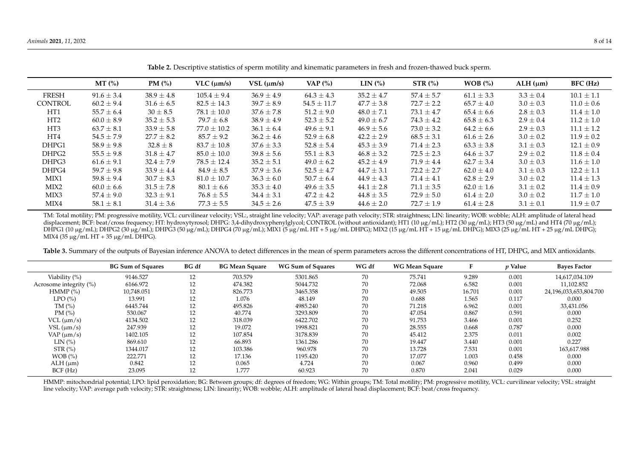|                   | MT(%)          | PM (%)         | $VLC$ ( $\mu$ m/s) | $VSL$ ( $\mu$ m/s) | VAP $(\%)$      | LIN <sub>0</sub> | STR(%)         | WOB (%)        | $ALH$ ( $\mu$ m) | BFC (Hz)       |
|-------------------|----------------|----------------|--------------------|--------------------|-----------------|------------------|----------------|----------------|------------------|----------------|
| <b>FRESH</b>      | $91.6 \pm 3.4$ | $38.9 \pm 4.8$ | $105.4 \pm 9.4$    | $36.9 \pm 4.9$     | $64.3 \pm 4.3$  | $35.2 \pm 4.7$   | $57.4 \pm 5.7$ | $61.1 \pm 3.3$ | $3.3 \pm 0.4$    | $10.1 \pm 1.1$ |
| CONTROL           | $60.2 \pm 9.4$ | $31.6 \pm 6.5$ | $82.5 \pm 14.3$    | $39.7 \pm 8.9$     | $54.5 \pm 11.7$ | $47.7 \pm 3.8$   | $72.7 \pm 2.2$ | $65.7 \pm 4.0$ | $3.0 \pm 0.3$    | $11.0 \pm 0.6$ |
| HT <sub>1</sub>   | $55.7 \pm 6.4$ | $30 \pm 8.5$   | $78.1 \pm 10.0$    | $37.6 \pm 7.8$     | $51.2 \pm 9.0$  | $48.0 \pm 7.1$   | $73.1 \pm 4.7$ | $65.4 \pm 6.6$ | $2.8 \pm 0.3$    | $11.4 \pm 1.0$ |
| HT <sub>2</sub>   | $60.0 \pm 8.9$ | $35.2 \pm 5.3$ | $79.7 \pm 6.8$     | $38.9 \pm 4.9$     | $52.3 \pm 5.2$  | $49.0 \pm 6.7$   | $74.3 \pm 4.2$ | $65.8 \pm 6.3$ | $2.9 \pm 0.4$    | $11.2 \pm 1.0$ |
| HT <sub>3</sub>   | $63.7 \pm 8.1$ | $33.9 \pm 5.8$ | $77.0 \pm 10.2$    | $36.1 \pm 6.4$     | $49.6 \pm 9.1$  | $46.9 \pm 5.6$   | $73.0 \pm 3.2$ | $64.2 \pm 6.6$ | $2.9 \pm 0.3$    | $11.1 \pm 1.2$ |
| HT4               | $54.5 \pm 7.9$ | $27.7 \pm 8.2$ | $85.7 \pm 9.2$     | $36.2 \pm 4.6$     | $52.9 \pm 6.8$  | $42.2 \pm 2.9$   | $68.5 \pm 3.1$ | $61.6 \pm 2.6$ | $3.0 \pm 0.2$    | $11.9 \pm 0.2$ |
| DHPG1             | $58.9 \pm 9.8$ | $32.8 \pm 8$   | $83.7 + 10.8$      | $37.6 \pm 3.3$     | $52.8 \pm 5.4$  | $45.3 \pm 3.9$   | $71.4 \pm 2.3$ | $63.3 \pm 3.8$ | $3.1 \pm 0.3$    | $12.1 \pm 0.9$ |
| DHPG <sub>2</sub> | $55.5 \pm 9.8$ | $31.8 \pm 4.7$ | $85.0 \pm 10.0$    | $39.8 \pm 5.6$     | $55.1 \pm 8.3$  | $46.8 \pm 3.2$   | $72.5 \pm 2.3$ | $64.6 \pm 3.7$ | $2.9 \pm 0.2$    | $11.8 \pm 0.4$ |
| DHPG3             | $61.6 \pm 9.1$ | $32.4 \pm 7.9$ | $78.5 \pm 12.4$    | $35.2 \pm 5.1$     | $49.0 \pm 6.2$  | $45.2 \pm 4.9$   | $71.9 \pm 4.4$ | $62.7 \pm 3.4$ | $3.0 \pm 0.3$    | $11.6 \pm 1.0$ |
| DHPG4             | $59.7 \pm 9.8$ | $33.9 \pm 4.4$ | $84.9 \pm 8.5$     | $37.9 \pm 3.6$     | $52.5 \pm 4.7$  | $44.7 \pm 3.1$   | $72.2 \pm 2.7$ | $62.0 \pm 4.0$ | $3.1 \pm 0.3$    | $12.2 \pm 1.1$ |
| MIX1              | $59.8 \pm 9.4$ | $30.7 \pm 8.3$ | $81.0 \pm 10.7$    | $36.3 \pm 6.0$     | $50.7 \pm 6.4$  | $44.9 \pm 4.3$   | $71.4 \pm 4.1$ | $62.8 \pm 2.9$ | $3.0 \pm 0.2$    | $11.4 \pm 1.3$ |
| MIX <sub>2</sub>  | $60.0 \pm 6.6$ | $31.5 \pm 7.8$ | $80.1 \pm 6.6$     | $35.3 \pm 4.0$     | $49.6 \pm 3.5$  | $44.1 \pm 2.8$   | $71.1 \pm 3.5$ | $62.0 \pm 1.6$ | $3.1 \pm 0.2$    | $11.4 \pm 0.9$ |
| MIX3              | $57.4 \pm 9.0$ | $32.3 \pm 9.1$ | $76.8 \pm 5.5$     | $34.4 \pm 3.1$     | $47.2 \pm 4.2$  | $44.8 \pm 3.5$   | $72.9 \pm 5.0$ | $61.4 \pm 2.0$ | $3.0 \pm 0.2$    | $11.7 \pm 1.0$ |
| MIX4              | $58.1 \pm 8.1$ | $31.4 \pm 3.6$ | $77.3 \pm 5.5$     | $34.5 \pm 2.6$     | $47.5 \pm 3.9$  | $44.6 \pm 2.0$   | $72.7 \pm 1.9$ | $61.4 \pm 2.8$ | $3.1 \pm 0.1$    | $11.9 \pm 0.7$ |
|                   |                |                |                    |                    |                 |                  |                |                |                  |                |

**Table 2.** Descriptive statistics of sperm motility and kinematic parameters in fresh and frozen-thawed buck sperm.

TM: Total motility; PM: progressive motility, VCL: curvilinear velocity; VSL:, straight line velocity; VAP: average path velocity; STR: straightness; LIN: linearity; WOB: wobble; ALH: amplitude of lateral head displacement; BCF: beat/cross frequency; HT: hydroxytyrosol; DHPG: 3,4-dihydroxyphenylglycol; CONTROL (without antioxidant); HT1 (10 µg/mL); HT2 (30 µg/mL); HT3 (50 µg/mL); and HT4 (70 µg/mL); DHPG1 (10 µg/mL); DHPG2 (30 µg/mL); DHPG3 (50 µg/mL); DHPG4 (70 µg/mL); MIX1 (5 µg/mL HT + 5 µg/mL DHPG); MIX2 (15 µg/mL HT + 15 µg/mL DHPG); MIX3 (25 µg/mL HT + 25 µg/mL DHPG); MIX4 (35 µg/mL HT + 35 µg/mL DHPG).

<span id="page-7-0"></span>Table 3. Summary of the outputs of Bayesian inference ANOVA to detect differences in the mean of sperm parameters across the different concentrations of HT, DHPG, and MIX antioxidants.

|                            | <b>BG Sum of Squares</b> | BG df | <b>BG Mean Square</b> | <b>WG Sum of Squares</b> | WG df | WG Mean Square |        | <i>v</i> Value | <b>Baves Factor</b>    |
|----------------------------|--------------------------|-------|-----------------------|--------------------------|-------|----------------|--------|----------------|------------------------|
| Viability (%)              | 9146.527                 | 12    | 703.579               | 5301.865                 | 70    | 75.741         | 9.289  | 0.001          | 14,617,034.109         |
| Acrosome integrity $(\% )$ | 6166.972                 | 12    | 474.382               | 5044.732                 | 70    | 72.068         | 6.582  | 0.001          | 11,102.852             |
| HMMP(%)                    | 10,748.051               | 12    | 826.773               | 3465.358                 | 70    | 49.505         | 16.701 | 0.001          | 24,196,033,653,804.700 |
| LPO(%)                     | 13.991                   | 12    | 1.076                 | 48.149                   | 70    | 0.688          | 1.565  | 0.117          | 0.000                  |
| TM $(%)$                   | 6445.744                 | 12    | 495.826               | 4985.240                 | 70    | 71.218         | 6.962  | 0.001          | 33,431.056             |
| PM $(\% )$                 | 530.067                  | 12    | 40.774                | 3293.809                 | 70    | 47.054         | 0.867  | 0.591          | 0.000                  |
| $VCL$ ( $\mu$ m/s)         | 4134.502                 | 12    | 318.039               | 6422.702                 | 70    | 91.753         | 3.466  | 0.001          | 0.252                  |
| $VSL ( \mu m/s )$          | 247.939                  | 12    | 19.072                | 1998.821                 | 70    | 28.555         | 0.668  | 0.787          | 0.000                  |
| VAP $(\mu m/s)$            | 1402.105                 | 12    | 107.854               | 3178.839                 | 70    | 45.412         | 2.375  | 0.011          | 0.002                  |
| LIN(%)                     | 869.610                  | 12    | 66.893                | 1361.286                 | 70    | 19.447         | 3.440  | 0.001          | 0.227                  |
| STR(%)                     | 1344.017                 | 12    | 103.386               | 960.978                  | 70    | 13.728         | 7.531  | 0.001          | 163,617.988            |
| WOB (%)                    | 222.771                  | 12    | 17.136                | 1195.420                 | 70    | 17.077         | 1.003  | 0.458          | 0.000                  |
| $ALH$ ( $\mu$ m)           | 0.842                    | 12    | 0.065                 | 4.724                    | 70    | 0.067          | 0.960  | 0.499          | 0.000                  |
| BCF(Hz)                    | 23.095                   | 12    | 1.777                 | 60.923                   | 70    | 0.870          | 2.041  | 0.029          | 0.000                  |

<span id="page-7-1"></span>HMMP: mitochondrial potential; LPO: lipid peroxidation; BG: Between groups; df: degrees of freedom; WG: Within groups; TM: Total motility; PM: progressive motility, VCL: curvilinear velocity; VSL: straight line velocity; VAP: average path velocity; STR: straightness; LIN: linearity; WOB: wobble; ALH: amplitude of lateral head displacement; BCF: beat/cross frequency.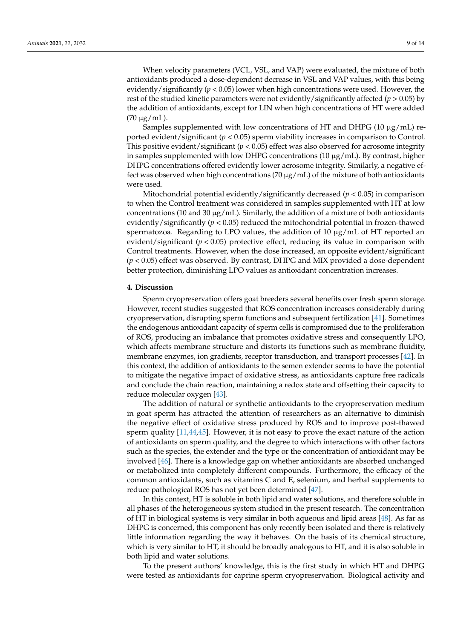When velocity parameters (VCL, VSL, and VAP) were evaluated, the mixture of both antioxidants produced a dose-dependent decrease in VSL and VAP values, with this being evidently/significantly (*p* < 0.05) lower when high concentrations were used. However, the rest of the studied kinetic parameters were not evidently/significantly affected (*p* > 0.05) by the addition of antioxidants, except for LIN when high concentrations of HT were added (70 µg/mL).

Samples supplemented with low concentrations of HT and DHPG (10  $\mu$ g/mL) reported evident/significant (*p* < 0.05) sperm viability increases in comparison to Control. This positive evident/significant  $(p < 0.05)$  effect was also observed for acrosome integrity in samples supplemented with low DHPG concentrations (10  $\mu$ g/mL). By contrast, higher DHPG concentrations offered evidently lower acrosome integrity. Similarly, a negative effect was observed when high concentrations (70  $\mu$ g/mL) of the mixture of both antioxidants were used.

Mitochondrial potential evidently/significantly decreased (*p* < 0.05) in comparison to when the Control treatment was considered in samples supplemented with HT at low concentrations (10 and 30  $\mu$ g/mL). Similarly, the addition of a mixture of both antioxidants evidently/significantly ( $p < 0.05$ ) reduced the mitochondrial potential in frozen-thawed spermatozoa. Regarding to LPO values, the addition of 10  $\mu$ g/mL of HT reported an evident/significant  $(p < 0.05)$  protective effect, reducing its value in comparison with Control treatments. However, when the dose increased, an opposite evident/significant (*p* < 0.05) effect was observed. By contrast, DHPG and MIX provided a dose-dependent better protection, diminishing LPO values as antioxidant concentration increases.

### **4. Discussion**

Sperm cryopreservation offers goat breeders several benefits over fresh sperm storage. However, recent studies suggested that ROS concentration increases considerably during cryopreservation, disrupting sperm functions and subsequent fertilization [\[41\]](#page-12-22). Sometimes the endogenous antioxidant capacity of sperm cells is compromised due to the proliferation of ROS, producing an imbalance that promotes oxidative stress and consequently LPO, which affects membrane structure and distorts its functions such as membrane fluidity, membrane enzymes, ion gradients, receptor transduction, and transport processes [\[42\]](#page-12-23). In this context, the addition of antioxidants to the semen extender seems to have the potential to mitigate the negative impact of oxidative stress, as antioxidants capture free radicals and conclude the chain reaction, maintaining a redox state and offsetting their capacity to reduce molecular oxygen [\[43\]](#page-12-24).

The addition of natural or synthetic antioxidants to the cryopreservation medium in goat sperm has attracted the attention of researchers as an alternative to diminish the negative effect of oxidative stress produced by ROS and to improve post-thawed sperm quality [\[11](#page-11-8)[,44](#page-13-0)[,45\]](#page-13-1). However, it is not easy to prove the exact nature of the action of antioxidants on sperm quality, and the degree to which interactions with other factors such as the species, the extender and the type or the concentration of antioxidant may be involved [\[46\]](#page-13-2). There is a knowledge gap on whether antioxidants are absorbed unchanged or metabolized into completely different compounds. Furthermore, the efficacy of the common antioxidants, such as vitamins C and E, selenium, and herbal supplements to reduce pathological ROS has not yet been determined [\[47\]](#page-13-3).

In this context, HT is soluble in both lipid and water solutions, and therefore soluble in all phases of the heterogeneous system studied in the present research. The concentration of HT in biological systems is very similar in both aqueous and lipid areas [\[48\]](#page-13-4). As far as DHPG is concerned, this component has only recently been isolated and there is relatively little information regarding the way it behaves. On the basis of its chemical structure, which is very similar to HT, it should be broadly analogous to HT, and it is also soluble in both lipid and water solutions.

To the present authors' knowledge, this is the first study in which HT and DHPG were tested as antioxidants for caprine sperm cryopreservation. Biological activity and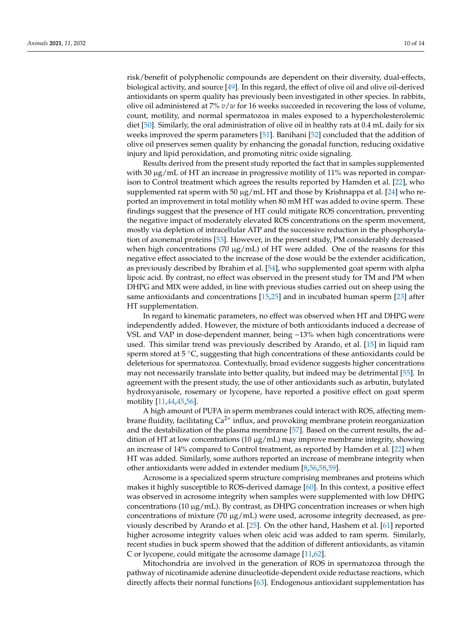risk/benefit of polyphenolic compounds are dependent on their diversity, dual-effects, biological activity, and source [\[49\]](#page-13-5). In this regard, the effect of olive oil and olive oil-derived antioxidants on sperm quality has previously been investigated in other species. In rabbits, olive oil administered at 7% *v*/*w* for 16 weeks succeeded in recovering the loss of volume, count, motility, and normal spermatozoa in males exposed to a hypercholesterolemic diet [\[50\]](#page-13-6). Similarly, the oral administration of olive oil in healthy rats at 0.4 mL daily for six weeks improved the sperm parameters [\[51\]](#page-13-7). Banihani [\[52\]](#page-13-8) concluded that the addition of olive oil preserves semen quality by enhancing the gonadal function, reducing oxidative injury and lipid peroxidation, and promoting nitric oxide signaling.

Results derived from the present study reported the fact that in samples supplemented with 30 µg/mL of HT an increase in progressive motility of 11% was reported in comparison to Control treatment which agrees the results reported by Hamden et al. [\[22\]](#page-12-3), who supplemented rat sperm with 50  $\mu$ g/mL HT and those by Krishnappa et al. [\[24\]](#page-12-5) who reported an improvement in total motility when 80 mM HT was added to ovine sperm. These findings suggest that the presence of HT could mitigate ROS concentration, preventing the negative impact of moderately elevated ROS concentrations on the sperm movement, mostly via depletion of intracellular ATP and the successive reduction in the phosphorylation of axonemal proteins [\[53\]](#page-13-9). However, in the present study, PM considerably decreased when high concentrations (70  $\mu$ g/mL) of HT were added. One of the reasons for this negative effect associated to the increase of the dose would be the extender acidification, as previously described by Ibrahim et al. [\[54\]](#page-13-10), who supplemented goat sperm with alpha lipoic acid. By contrast, no effect was observed in the present study for TM and PM when DHPG and MIX were added, in line with previous studies carried out on sheep using the same antioxidants and concentrations [\[15](#page-11-12)[,25\]](#page-12-6) and in incubated human sperm [\[23\]](#page-12-4) after HT supplementation.

In regard to kinematic parameters, no effect was observed when HT and DHPG were independently added. However, the mixture of both antioxidants induced a decrease of VSL and VAP in dose-dependent manner, being  $\sim$ 13% when high concentrations were used. This similar trend was previously described by Arando, et al. [\[15\]](#page-11-12) in liquid ram sperm stored at 5 °C, suggesting that high concentrations of these antioxidants could be deleterious for spermatozoa. Contextually, broad evidence suggests higher concentrations may not necessarily translate into better quality, but indeed may be detrimental [\[55\]](#page-13-11). In agreement with the present study, the use of other antioxidants such as arbutin, butylated hydroxyanisole, rosemary or lycopene, have reported a positive effect on goat sperm motility [\[11](#page-11-8)[,44](#page-13-0)[,45](#page-13-1)[,56\]](#page-13-12).

A high amount of PUFA in sperm membranes could interact with ROS, affecting membrane fluidity, facilitating  $Ca^{2+}$  influx, and provoking membrane protein reorganization and the destabilization of the plasma membrane [\[57\]](#page-13-13). Based on the current results, the addition of HT at low concentrations  $(10 \mu g/mL)$  may improve membrane integrity, showing an increase of 14% compared to Control treatment, as reported by Hamden et al. [\[22\]](#page-12-3) when HT was added. Similarly, some authors reported an increase of membrane integrity when other antioxidants were added in extender medium [\[8,](#page-11-7)[56,](#page-13-12)[58,](#page-13-14)[59\]](#page-13-15).

Acrosome is a specialized sperm structure comprising membranes and proteins which makes it highly susceptible to ROS-derived damage [\[60\]](#page-13-16). In this context, a positive effect was observed in acrosome integrity when samples were supplemented with low DHPG concentrations (10  $\mu$ g/mL). By contrast, as DHPG concentration increases or when high concentrations of mixture (70  $\mu$ g/mL) were used, acrosome integrity decreased, as previously described by Arando et al. [\[25\]](#page-12-6). On the other hand, Hashem et al. [\[61\]](#page-13-17) reported higher acrosome integrity values when oleic acid was added to ram sperm. Similarly, recent studies in buck sperm showed that the addition of different antioxidants, as vitamin C or lycopene, could mitigate the acrosome damage [\[11,](#page-11-8)[62\]](#page-13-18).

Mitochondria are involved in the generation of ROS in spermatozoa through the pathway of nicotinamide adenine dinucleotide-dependent oxide reductase reactions, which directly affects their normal functions [\[63\]](#page-13-19). Endogenous antioxidant supplementation has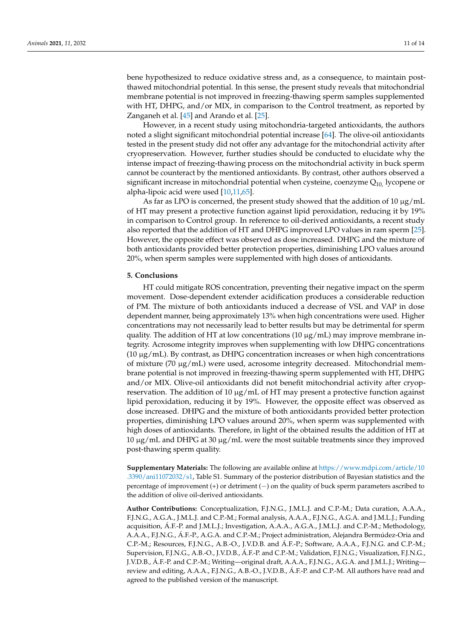bene hypothesized to reduce oxidative stress and, as a consequence, to maintain postthawed mitochondrial potential. In this sense, the present study reveals that mitochondrial membrane potential is not improved in freezing-thawing sperm samples supplemented with HT, DHPG, and/or MIX, in comparison to the Control treatment, as reported by Zanganeh et al. [\[45\]](#page-13-1) and Arando et al. [\[25\]](#page-12-6).

However, in a recent study using mitochondria-targeted antioxidants, the authors noted a slight significant mitochondrial potential increase [\[64\]](#page-13-20). The olive-oil antioxidants tested in the present study did not offer any advantage for the mitochondrial activity after cryopreservation. However, further studies should be conducted to elucidate why the intense impact of freezing-thawing process on the mitochondrial activity in buck sperm cannot be counteract by the mentioned antioxidants. By contrast, other authors observed a significant increase in mitochondrial potential when cysteine, coenzyme  $Q_{10}$ , lycopene or alpha-lipoic acid were used [\[10,](#page-11-15)[11,](#page-11-8)[65\]](#page-13-21).

As far as LPO is concerned, the present study showed that the addition of 10  $\mu$ g/mL of HT may present a protective function against lipid peroxidation, reducing it by 19% in comparison to Control group. In reference to oil-derived antioxidants, a recent study also reported that the addition of HT and DHPG improved LPO values in ram sperm [\[25\]](#page-12-6). However, the opposite effect was observed as dose increased. DHPG and the mixture of both antioxidants provided better protection properties, diminishing LPO values around 20%, when sperm samples were supplemented with high doses of antioxidants.

## **5. Conclusions**

HT could mitigate ROS concentration, preventing their negative impact on the sperm movement. Dose-dependent extender acidification produces a considerable reduction of PM. The mixture of both antioxidants induced a decrease of VSL and VAP in dose dependent manner, being approximately 13% when high concentrations were used. Higher concentrations may not necessarily lead to better results but may be detrimental for sperm quality. The addition of HT at low concentrations (10  $\mu$ g/mL) may improve membrane integrity. Acrosome integrity improves when supplementing with low DHPG concentrations  $(10 \mu g/mL)$ . By contrast, as DHPG concentration increases or when high concentrations of mixture (70  $\mu$ g/mL) were used, acrosome integrity decreased. Mitochondrial membrane potential is not improved in freezing-thawing sperm supplemented with HT, DHPG and/or MIX. Olive-oil antioxidants did not benefit mitochondrial activity after cryopreservation. The addition of 10  $\mu$ g/mL of HT may present a protective function against lipid peroxidation, reducing it by 19%. However, the opposite effect was observed as dose increased. DHPG and the mixture of both antioxidants provided better protection properties, diminishing LPO values around 20%, when sperm was supplemented with high doses of antioxidants. Therefore, in light of the obtained results the addition of HT at 10  $\mu$ g/mL and DHPG at 30  $\mu$ g/mL were the most suitable treatments since they improved post-thawing sperm quality.

**Supplementary Materials:** The following are available online at [https://www.mdpi.com/article/10](https://www.mdpi.com/article/10.3390/ani11072032/s1) [.3390/ani11072032/s1,](https://www.mdpi.com/article/10.3390/ani11072032/s1) Table S1. Summary of the posterior distribution of Bayesian statistics and the percentage of improvement (+) or detriment (−) on the quality of buck sperm parameters ascribed to the addition of olive oil-derived antioxidants.

**Author Contributions:** Conceptualization, F.J.N.G., J.M.L.J. and C.P.-M.; Data curation, A.A.A., F.J.N.G., A.G.A., J.M.L.J. and C.P.-M.; Formal analysis, A.A.A., F.J.N.G., A.G.A. and J.M.L.J.; Funding acquisition, Á.F.-P. and J.M.L.J.; Investigation, A.A.A., A.G.A., J.M.L.J. and C.P.-M.; Methodology, A.A.A., F.J.N.G., Á.F.-P., A.G.A. and C.P.-M.; Project administration, Alejandra Bermúdez-Oria and C.P.-M.; Resources, F.J.N.G., A.B.-O., J.V.D.B. and Á.F.-P.; Software, A.A.A., F.J.N.G. and C.P.-M.; Supervision, F.J.N.G., A.B.-O., J.V.D.B., Á.F.-P. and C.P.-M.; Validation, F.J.N.G.; Visualization, F.J.N.G., J.V.D.B., Á.F.-P. and C.P.-M.; Writing—original draft, A.A.A., F.J.N.G., A.G.A. and J.M.L.J.; Writing review and editing, A.A.A., F.J.N.G., A.B.-O., J.V.D.B., Á.F.-P. and C.P.-M. All authors have read and agreed to the published version of the manuscript.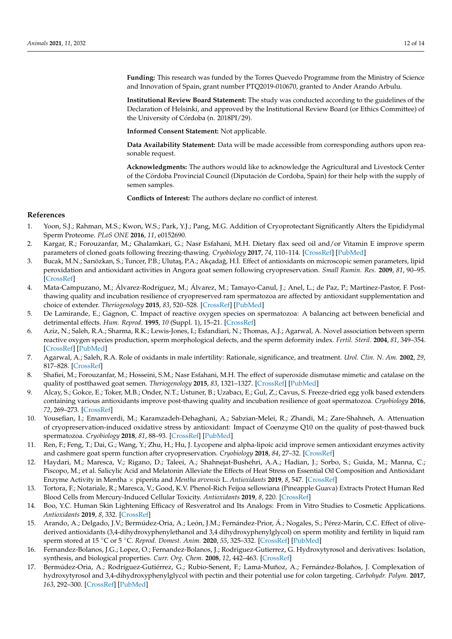**Funding:** This research was funded by the Torres Quevedo Programme from the Ministry of Science and Innovation of Spain, grant number PTQ2019-010670, granted to Ander Arando Arbulu.

**Institutional Review Board Statement:** The study was conducted according to the guidelines of the Declaration of Helsinki, and approved by the Institutional Review Board (or Ethics Committee) of the University of Córdoba (n. 2018PI/29).

**Informed Consent Statement:** Not applicable.

**Data Availability Statement:** Data will be made accessible from corresponding authors upon reasonable request.

**Acknowledgments:** The authors would like to acknowledge the Agricultural and Livestock Center of the Córdoba Provincial Council (Diputación de Cordoba, Spain) for their help with the supply of semen samples.

**Conflicts of Interest:** The authors declare no conflict of interest.

## **References**

- <span id="page-11-0"></span>1. Yoon, S.J.; Rahman, M.S.; Kwon, W.S.; Park, Y.J.; Pang, M.G. Addition of Cryoprotectant Significantly Alters the Epididymal Sperm Proteome. *PLoS ONE* **2016**, *11*, e0152690.
- <span id="page-11-1"></span>2. Kargar, R.; Forouzanfar, M.; Ghalamkari, G.; Nasr Esfahani, M.H. Dietary flax seed oil and/or Vitamin E improve sperm parameters of cloned goats following freezing-thawing. *Cryobiology* **2017**, *74*, 110–114. [\[CrossRef\]](http://doi.org/10.1016/j.cryobiol.2016.11.007) [\[PubMed\]](http://www.ncbi.nlm.nih.gov/pubmed/27894899)
- <span id="page-11-2"></span>3. Bucak, M.N.; Sarıözkan, S.; Tuncer, P.B.; Ulutaş, P.A.; Akçadağ, H.İ. Effect of antioxidants on microscopic semen parameters, lipid peroxidation and antioxidant activities in Angora goat semen following cryopreservation. *Small Rumin. Res.* **2009**, *81*, 90–95. [\[CrossRef\]](http://doi.org/10.1016/j.smallrumres.2008.11.011)
- <span id="page-11-3"></span>4. Mata-Campuzano, M.; Álvarez-Rodríguez, M.; Álvarez, M.; Tamayo-Canul, J.; Anel, L.; de Paz, P.; Martínez-Pastor, F. Postthawing quality and incubation resilience of cryopreserved ram spermatozoa are affected by antioxidant supplementation and choice of extender. *Theriogenology* **2015**, *83*, 520–528. [\[CrossRef\]](http://doi.org/10.1016/j.theriogenology.2014.10.018) [\[PubMed\]](http://www.ncbi.nlm.nih.gov/pubmed/25499089)
- <span id="page-11-4"></span>5. De Lamirande, E.; Gagnon, C. Impact of reactive oxygen species on spermatozoa: A balancing act between beneficial and detrimental effects. *Hum. Reprod.* **1995**, *10* (Suppl. 1), 15–21. [\[CrossRef\]](http://doi.org/10.1093/humrep/10.suppl_1.15)
- <span id="page-11-5"></span>6. Aziz, N.; Saleh, R.A.; Sharma, R.K.; Lewis-Jones, I.; Esfandiari, N.; Thomas, A.J.; Agarwal, A. Novel association between sperm reactive oxygen species production, sperm morphological defects, and the sperm deformity index. *Fertil. Steril.* **2004**, *81*, 349–354. [\[CrossRef\]](http://doi.org/10.1016/j.fertnstert.2003.06.026) [\[PubMed\]](http://www.ncbi.nlm.nih.gov/pubmed/14967372)
- <span id="page-11-6"></span>7. Agarwal, A.; Saleh, R.A. Role of oxidants in male infertility: Rationale, significance, and treatment. *Urol. Clin. N. Am.* **2002**, *29*, 817–828. [\[CrossRef\]](http://doi.org/10.1016/S0094-0143(02)00081-2)
- <span id="page-11-7"></span>8. Shafiei, M.; Forouzanfar, M.; Hosseini, S.M.; Nasr Esfahani, M.H. The effect of superoxide dismutase mimetic and catalase on the quality of postthawed goat semen. *Theriogenology* **2015**, *83*, 1321–1327. [\[CrossRef\]](http://doi.org/10.1016/j.theriogenology.2015.01.018) [\[PubMed\]](http://www.ncbi.nlm.nih.gov/pubmed/25698161)
- 9. Alcay, S.; Gokce, E.; Toker, M.B.; Onder, N.T.; Ustuner, B.; Uzabacı, E.; Gul, Z.; Cavus, S. Freeze-dried egg yolk based extenders containing various antioxidants improve post-thawing quality and incubation resilience of goat spermatozoa. *Cryobiology* **2016**, *72*, 269–273. [\[CrossRef\]](http://doi.org/10.1016/j.cryobiol.2016.03.007)
- <span id="page-11-15"></span>10. Yousefian, I.; Emamverdi, M.; Karamzadeh-Dehaghani, A.; Sabzian-Melei, R.; Zhandi, M.; Zare-Shahneh, A. Attenuation of cryopreservation-induced oxidative stress by antioxidant: Impact of Coenzyme Q10 on the quality of post-thawed buck spermatozoa. *Cryobiology* **2018**, *81*, 88–93. [\[CrossRef\]](http://doi.org/10.1016/j.cryobiol.2018.02.005) [\[PubMed\]](http://www.ncbi.nlm.nih.gov/pubmed/29432715)
- <span id="page-11-8"></span>11. Ren, F.; Feng, T.; Dai, G.; Wang, Y.; Zhu, H.; Hu, J. Lycopene and alpha-lipoic acid improve semen antioxidant enzymes activity and cashmere goat sperm function after cryopreservation. *Cryobiology* **2018**, *84*, 27–32. [\[CrossRef\]](http://doi.org/10.1016/j.cryobiol.2018.08.006)
- <span id="page-11-9"></span>12. Haydari, M.; Maresca, V.; Rigano, D.; Taleei, A.; Shahnejat-Bushehri, A.A.; Hadian, J.; Sorbo, S.; Guida, M.; Manna, C.; Piscopo, M.; et al. Salicylic Acid and Melatonin Alleviate the Effects of Heat Stress on Essential Oil Composition and Antioxidant Enzyme Activity in Mentha × piperita and *Mentha arvensis* L. *Antioxidants* **2019**, *8*, 547. [\[CrossRef\]](http://doi.org/10.3390/antiox8110547)
- <span id="page-11-10"></span>13. Tortora, F.; Notariale, R.; Maresca, V.; Good, K.V. Phenol-Rich Feijoa sellowiana (Pineapple Guava) Extracts Protect Human Red Blood Cells from Mercury-Induced Cellular Toxicity. *Antioxidants* **2019**, *8*, 220. [\[CrossRef\]](http://doi.org/10.3390/antiox8070220)
- <span id="page-11-11"></span>14. Boo, Y.C. Human Skin Lightening Efficacy of Resveratrol and Its Analogs: From in Vitro Studies to Cosmetic Applications. *Antioxidants* **2019**, *8*, 332. [\[CrossRef\]](http://doi.org/10.3390/antiox8090332)
- <span id="page-11-12"></span>15. Arando, A.; Delgado, J.V.; Bermúdez-Oria, A.; León, J.M.; Fernández-Prior, Á.; Nogales, S.; Pérez-Marín, C.C. Effect of olivederived antioxidants (3,4-dihydroxyphenylethanol and 3,4 dihydroxyphenylglycol) on sperm motility and fertility in liquid ram sperm stored at 15 ◦C or 5 ◦C. *Reprod. Domest. Anim.* **2020**, *55*, 325–332. [\[CrossRef\]](http://doi.org/10.1111/rda.13631) [\[PubMed\]](http://www.ncbi.nlm.nih.gov/pubmed/31926029)
- <span id="page-11-13"></span>16. Fernandez-Bolanos, J.G.; Lopez, O.; Fernandez-Bolanos, J.; Rodriguez-Gutierrez, G. Hydroxytyrosol and derivatives: Isolation, synthesis, and biological properties. *Curr. Org. Chem.* **2008**, *12*, 442–463. [\[CrossRef\]](http://doi.org/10.2174/138527208784083888)
- <span id="page-11-14"></span>17. Bermúdez-Oria, A.; Rodríguez-Gutiérrez, G.; Rubio-Senent, F.; Lama-Muñoz, A.; Fernández-Bolaños, J. Complexation of hydroxytyrosol and 3,4-dihydroxyphenylglycol with pectin and their potential use for colon targeting. *Carbohydr. Polym.* **2017**, *163*, 292–300. [\[CrossRef\]](http://doi.org/10.1016/j.carbpol.2017.01.027) [\[PubMed\]](http://www.ncbi.nlm.nih.gov/pubmed/28267509)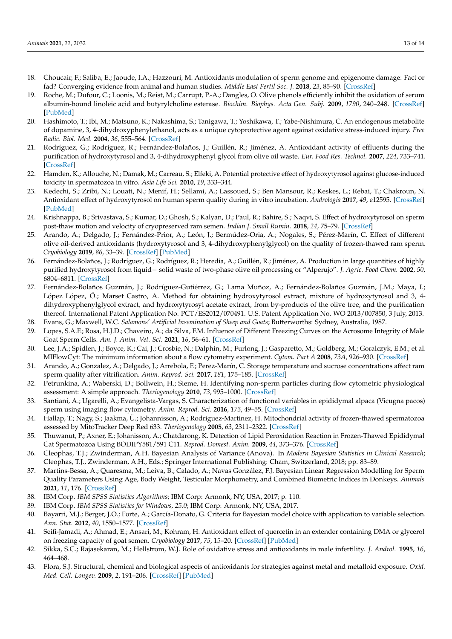- <span id="page-12-0"></span>18. Choucair, F.; Saliba, E.; Jaoude, I.A.; Hazzouri, M. Antioxidants modulation of sperm genome and epigenome damage: Fact or fad? Converging evidence from animal and human studies. *Middle East Fertil Soc. J.* **2018**, *23*, 85–90. [\[CrossRef\]](http://doi.org/10.1016/j.mefs.2018.01.006)
- 19. Roche, M.; Dufour, C.; Loonis, M.; Reist, M.; Carrupt, P.-A.; Dangles, O. Olive phenols efficiently inhibit the oxidation of serum albumin-bound linoleic acid and butyrylcholine esterase. *Biochim. Biophys. Acta Gen. Subj.* **2009**, *1790*, 240–248. [\[CrossRef\]](http://doi.org/10.1016/j.bbagen.2009.01.007) [\[PubMed\]](http://www.ncbi.nlm.nih.gov/pubmed/19714864)
- <span id="page-12-1"></span>20. Hashimoto, T.; Ibi, M.; Matsuno, K.; Nakashima, S.; Tanigawa, T.; Yoshikawa, T.; Yabe-Nishimura, C. An endogenous metabolite of dopamine, 3, 4-dihydroxyphenylethanol, acts as a unique cytoprotective agent against oxidative stress-induced injury. *Free Radic. Biol. Med.* **2004**, *36*, 555–564. [\[CrossRef\]](http://doi.org/10.1016/j.freeradbiomed.2003.12.003)
- <span id="page-12-2"></span>21. Rodríguez, G.; Rodríguez, R.; Fernández-Bolaños, J.; Guillén, R.; Jiménez, A. Antioxidant activity of effluents during the purification of hydroxytyrosol and 3, 4-dihydroxyphenyl glycol from olive oil waste. *Eur. Food Res. Technol.* **2007**, *224*, 733–741. [\[CrossRef\]](http://doi.org/10.1007/s00217-006-0366-1)
- <span id="page-12-3"></span>22. Hamden, K.; Allouche, N.; Damak, M.; Carreau, S.; Elfeki, A. Potential protective effect of hydroxytyrosol against glucose-induced toxicity in spermatozoa in vitro. *Asia Life Sci.* **2010**, *19*, 333–344.
- <span id="page-12-4"></span>23. Kedechi, S.; Zribi, N.; Louati, N.; Menif, H.; Sellami, A.; Lassoued, S.; Ben Mansour, R.; Keskes, L.; Rebai, T.; Chakroun, N. Antioxidant effect of hydroxytyrosol on human sperm quality during in vitro incubation. *Andrologia* **2017**, *49*, e12595. [\[CrossRef\]](http://doi.org/10.1111/and.12595) [\[PubMed\]](http://www.ncbi.nlm.nih.gov/pubmed/27135983)
- <span id="page-12-5"></span>24. Krishnappa, B.; Srivastava, S.; Kumar, D.; Ghosh, S.; Kalyan, D.; Paul, R.; Bahire, S.; Naqvi, S. Effect of hydroxytyrosol on sperm post-thaw motion and velocity of cryopreserved ram semen. *Indian J. Small Rumin.* **2018**, *24*, 75–79. [\[CrossRef\]](http://doi.org/10.5958/0973-9718.2018.00027.2)
- <span id="page-12-6"></span>25. Arando, A.; Delgado, J.; Fernández-Prior, A.; León, J.; Bermúdez-Oria, A.; Nogales, S.; Pérez-Marín, C. Effect of different olive oil-derived antioxidants (hydroxytyrosol and 3, 4-dihydroxyphenylglycol) on the quality of frozen-thawed ram sperm. *Cryobiology* **2019**, *86*, 33–39. [\[CrossRef\]](http://doi.org/10.1016/j.cryobiol.2019.01.002) [\[PubMed\]](http://www.ncbi.nlm.nih.gov/pubmed/30611732)
- <span id="page-12-7"></span>26. Fernández-Bolaños, J.; Rodríguez, G.; Rodríguez, R.; Heredia, A.; Guillén, R.; Jiménez, A. Production in large quantities of highly purified hydroxytyrosol from liquid− solid waste of two-phase olive oil processing or "Alperujo". *J. Agric. Food Chem.* **2002**, *50*, 6804–6811. [\[CrossRef\]](http://doi.org/10.1021/jf011712r)
- <span id="page-12-8"></span>27. Fernández-Bolaños Guzmán, J.; Rodríguez-Gutiérrez, G.; Lama Muñoz, A.; Fernández-Bolaños Guzmán, J.M.; Maya, I.; López López, Ó.; Marset Castro, A. Method for obtaining hydroxytyrosol extract, mixture of hydroxytyrosol and 3, 4 dihydroxyphenylglycol extract, and hydroxytyrosyl acetate extract, from by-products of the olive tree, and the purification thereof. International Patent Application No. PCT/ES2012/070491. U.S. Patent Application No. WO 2013/007850, 3 July, 2013.
- <span id="page-12-9"></span>28. Evans, G.; Maxwell, W.C. *Salamons' Artificial Insemination of Sheep and Goats*; Butterworths: Sydney, Australia, 1987.
- <span id="page-12-10"></span>29. Lopes, S.A.F.; Rosa, H.J.D.; Chaveiro, A.; da Silva, F.M. Influence of Different Freezing Curves on the Acrosome Integrity of Male Goat Sperm Cells. *Am. J. Anim. Vet. Sci.* **2021**, *16*, 56–61. [\[CrossRef\]](http://doi.org/10.3844/ajavsp.2021.56.61)
- <span id="page-12-11"></span>30. Lee, J.A.; Spidlen, J.; Boyce, K.; Cai, J.; Crosbie, N.; Dalphin, M.; Furlong, J.; Gasparetto, M.; Goldberg, M.; Goralczyk, E.M.; et al. MIFlowCyt: The minimum information about a flow cytometry experiment. *Cytom. Part A* **2008**, *73A*, 926–930. [\[CrossRef\]](http://doi.org/10.1002/cyto.a.20623)
- <span id="page-12-12"></span>31. Arando, A.; Gonzalez, A.; Delgado, J.; Arrebola, F.; Perez-Marín, C. Storage temperature and sucrose concentrations affect ram sperm quality after vitrification. *Anim. Reprod. Sci.* **2017**, *181*, 175–185. [\[CrossRef\]](http://doi.org/10.1016/j.anireprosci.2017.04.008)
- <span id="page-12-13"></span>32. Petrunkina, A.; Waberski, D.; Bollwein, H.; Sieme, H. Identifying non-sperm particles during flow cytometric physiological assessment: A simple approach. *Theriogenology* **2010**, *73*, 995–1000. [\[CrossRef\]](http://doi.org/10.1016/j.theriogenology.2009.12.006)
- <span id="page-12-14"></span>33. Santiani, A.; Ugarelli, A.; Evangelista-Vargas, S. Characterization of functional variables in epididymal alpaca (Vicugna pacos) sperm using imaging flow cytometry. *Anim. Reprod. Sci.* **2016**, *173*, 49–55. [\[CrossRef\]](http://doi.org/10.1016/j.anireprosci.2016.08.010)
- <span id="page-12-15"></span>34. Hallap, T.; Nagy, S.; Jaakma, Ü.; Johannisson, A.; Rodriguez-Martinez, H. Mitochondrial activity of frozen-thawed spermatozoa assessed by MitoTracker Deep Red 633. *Theriogenology* **2005**, *63*, 2311–2322. [\[CrossRef\]](http://doi.org/10.1016/j.theriogenology.2004.10.010)
- <span id="page-12-16"></span>35. Thuwanut, P.; Axner, E.; Johanisson, A.; Chatdarong, K. Detection of Lipid Peroxidation Reaction in Frozen-Thawed Epididymal Cat Spermatozoa Using BODIPY581/591 C11. *Reprod. Domest. Anim.* **2009**, *44*, 373–376. [\[CrossRef\]](http://doi.org/10.1111/j.1439-0531.2009.01453.x)
- <span id="page-12-17"></span>36. Cleophas, T.J.; Zwinderman, A.H. Bayesian Analysis of Variance (Anova). In *Modern Bayesian Statistics in Clinical Research*; Cleophas, T.J., Zwinderman, A.H., Eds.; Springer International Publishing: Cham, Switzerland, 2018; pp. 83–89.
- <span id="page-12-18"></span>37. Martins-Bessa, A.; Quaresma, M.; Leiva, B.; Calado, A.; Navas González, F.J. Bayesian Linear Regression Modelling for Sperm Quality Parameters Using Age, Body Weight, Testicular Morphometry, and Combined Biometric Indices in Donkeys. *Animals* **2021**, *11*, 176. [\[CrossRef\]](http://doi.org/10.3390/ani11010176)
- <span id="page-12-19"></span>38. IBM Corp. *IBM SPSS Statistics Algorithms*; IBM Corp: Armonk, NY, USA, 2017; p. 110.
- <span id="page-12-20"></span>39. IBM Corp. *IBM SPSS Statistics for Windows, 25.0*; IBM Corp: Armonk, NY, USA, 2017.
- <span id="page-12-21"></span>40. Bayarri, M.J.; Berger, J.O.; Forte, A.; García-Donato, G. Criteria for Bayesian model choice with application to variable selection. *Ann. Stat.* **2012**, *40*, 1550–1577. [\[CrossRef\]](http://doi.org/10.1214/12-AOS1013)
- <span id="page-12-22"></span>41. Seifi-Jamadi, A.; Ahmad, E.; Ansari, M.; Kohram, H. Antioxidant effect of quercetin in an extender containing DMA or glycerol on freezing capacity of goat semen. *Cryobiology* **2017**, *75*, 15–20. [\[CrossRef\]](http://doi.org/10.1016/j.cryobiol.2017.03.002) [\[PubMed\]](http://www.ncbi.nlm.nih.gov/pubmed/28279680)
- <span id="page-12-23"></span>42. Sikka, S.C.; Rajasekaran, M.; Hellstrom, W.J. Role of oxidative stress and antioxidants in male infertility. *J. Androl.* **1995**, *16*, 464–468.
- <span id="page-12-24"></span>43. Flora, S.J. Structural, chemical and biological aspects of antioxidants for strategies against metal and metalloid exposure. *Oxid. Med. Cell. Longev.* **2009**, *2*, 191–206. [\[CrossRef\]](http://doi.org/10.4161/oxim.2.4.9112) [\[PubMed\]](http://www.ncbi.nlm.nih.gov/pubmed/20716905)